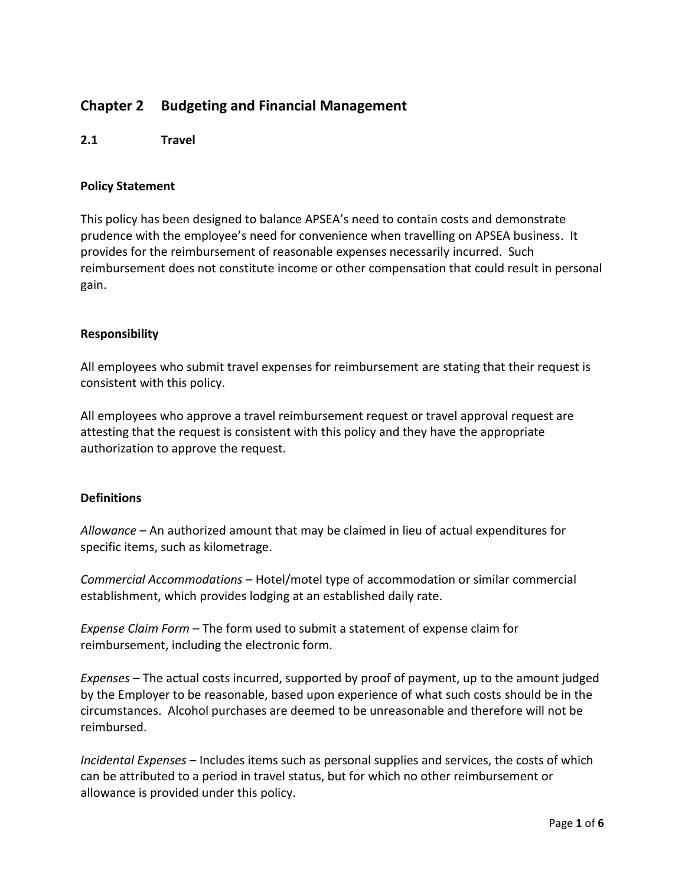# **Chapter 2 Budgeting and Financial Management**

#### **2.1 Travel**

#### **Policy Statement**

This policy has been designed to balance APSEA's need to contain costs and demonstrate prudence with the employee's need for convenience when travelling on APSEA business. It provides for the reimbursement of reasonable expenses necessarily incurred. Such reimbursement does not constitute income or other compensation that could result in personal gain.

#### **Responsibility**

All employees who submit travel expenses for reimbursement are stating that their request is consistent with this policy.

All employees who approve a travel reimbursement request or travel approval request are attesting that the request is consistent with this policy and they have the appropriate authorization to approve the request.

## **Definitions**

*Allowance* – An authorized amount that may be claimed in lieu of actual expenditures for specific items, such as kilometrage.

*Commercial Accommodations* – Hotel/motel type of accommodation or similar commercial establishment, which provides lodging at an established daily rate.

*Expense Claim Form* – The form used to submit a statement of expense claim for reimbursement, including the electronic form.

*Expenses* – The actual costs incurred, supported by proof of payment, up to the amount judged by the Employer to be reasonable, based upon experience of what such costs should be in the circumstances. Alcohol purchases are deemed to be unreasonable and therefore will not be reimbursed.

*Incidental Expenses* – Includes items such as personal supplies and services, the costs of which can be attributed to a period in travel status, but for which no other reimbursement or allowance is provided under this policy.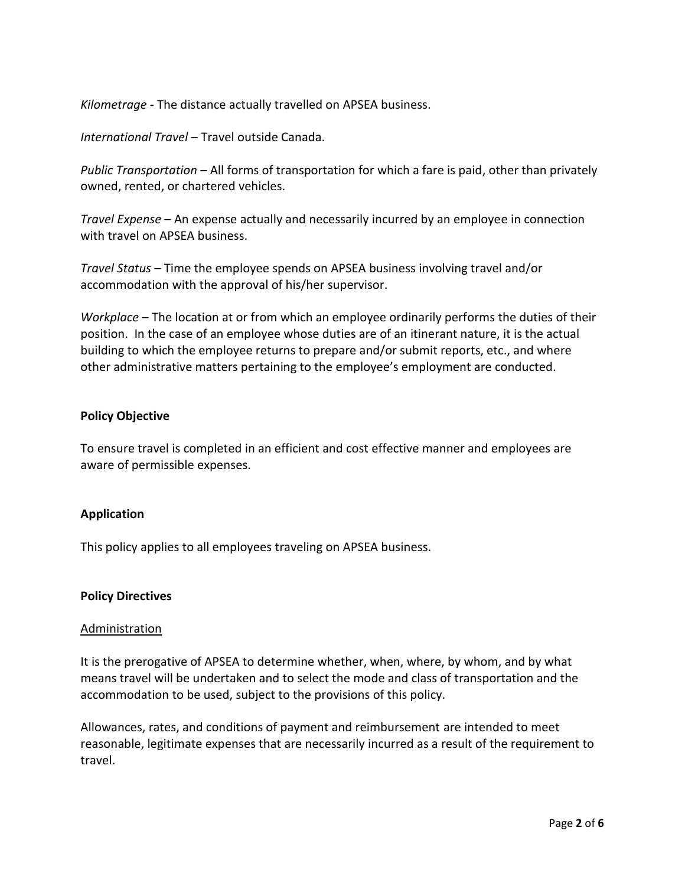*Kilometrage -* The distance actually travelled on APSEA business.

*International Travel* – Travel outside Canada.

*Public Transportation* – All forms of transportation for which a fare is paid, other than privately owned, rented, or chartered vehicles.

*Travel Expense* – An expense actually and necessarily incurred by an employee in connection with travel on APSEA business.

*Travel Status* – Time the employee spends on APSEA business involving travel and/or accommodation with the approval of his/her supervisor.

*Workplace* – The location at or from which an employee ordinarily performs the duties of their position. In the case of an employee whose duties are of an itinerant nature, it is the actual building to which the employee returns to prepare and/or submit reports, etc., and where other administrative matters pertaining to the employee's employment are conducted.

## **Policy Objective**

To ensure travel is completed in an efficient and cost effective manner and employees are aware of permissible expenses.

## **Application**

This policy applies to all employees traveling on APSEA business.

#### **Policy Directives**

#### Administration

It is the prerogative of APSEA to determine whether, when, where, by whom, and by what means travel will be undertaken and to select the mode and class of transportation and the accommodation to be used, subject to the provisions of this policy.

Allowances, rates, and conditions of payment and reimbursement are intended to meet reasonable, legitimate expenses that are necessarily incurred as a result of the requirement to travel.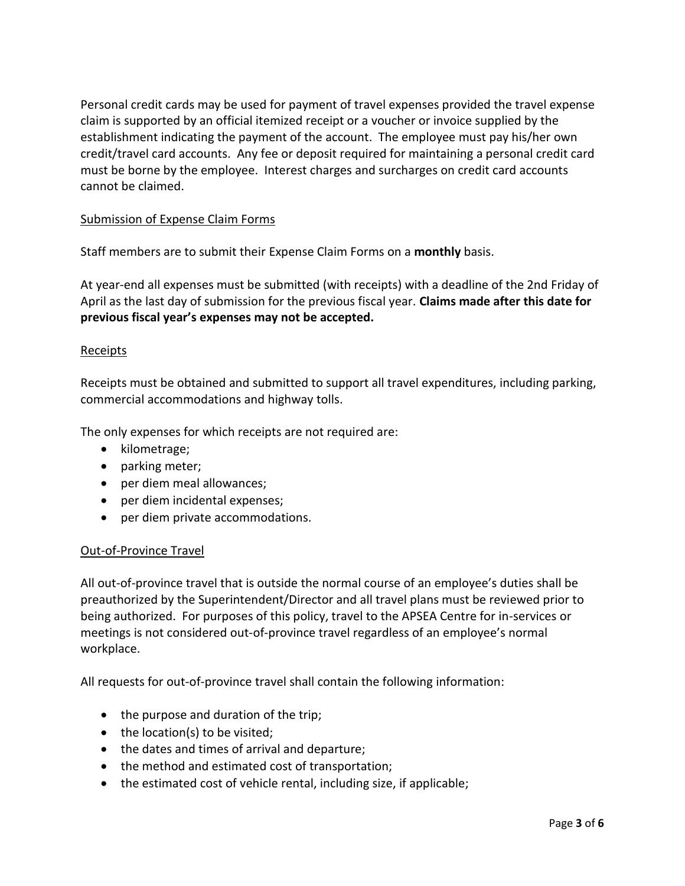Personal credit cards may be used for payment of travel expenses provided the travel expense claim is supported by an official itemized receipt or a voucher or invoice supplied by the establishment indicating the payment of the account. The employee must pay his/her own credit/travel card accounts. Any fee or deposit required for maintaining a personal credit card must be borne by the employee. Interest charges and surcharges on credit card accounts cannot be claimed.

## Submission of Expense Claim Forms

Staff members are to submit their Expense Claim Forms on a **monthly** basis.

At year-end all expenses must be submitted (with receipts) with a deadline of the 2nd Friday of April as the last day of submission for the previous fiscal year. **Claims made after this date for previous fiscal year's expenses may not be accepted.**

#### Receipts

Receipts must be obtained and submitted to support all travel expenditures, including parking, commercial accommodations and highway tolls.

The only expenses for which receipts are not required are:

- kilometrage;
- parking meter;
- per diem meal allowances;
- per diem incidental expenses;
- per diem private accommodations.

## Out-of-Province Travel

All out-of-province travel that is outside the normal course of an employee's duties shall be preauthorized by the Superintendent/Director and all travel plans must be reviewed prior to being authorized. For purposes of this policy, travel to the APSEA Centre for in-services or meetings is not considered out-of-province travel regardless of an employee's normal workplace.

All requests for out-of-province travel shall contain the following information:

- the purpose and duration of the trip;
- $\bullet$  the location(s) to be visited;
- the dates and times of arrival and departure;
- the method and estimated cost of transportation;
- the estimated cost of vehicle rental, including size, if applicable;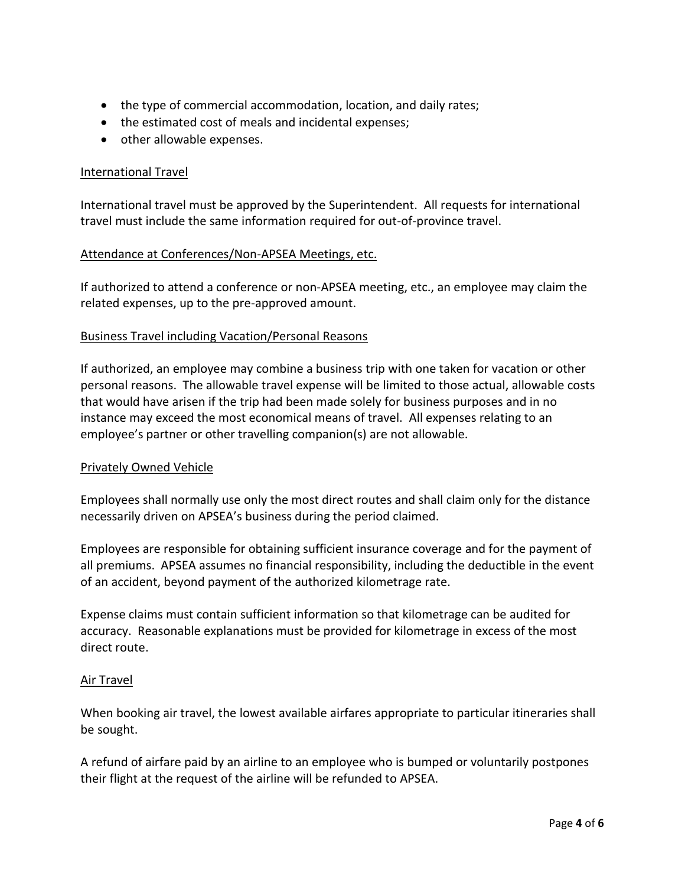- the type of commercial accommodation, location, and daily rates;
- the estimated cost of meals and incidental expenses;
- other allowable expenses.

## International Travel

International travel must be approved by the Superintendent. All requests for international travel must include the same information required for out-of-province travel.

## Attendance at Conferences/Non-APSEA Meetings, etc.

If authorized to attend a conference or non-APSEA meeting, etc., an employee may claim the related expenses, up to the pre-approved amount.

## Business Travel including Vacation/Personal Reasons

If authorized, an employee may combine a business trip with one taken for vacation or other personal reasons. The allowable travel expense will be limited to those actual, allowable costs that would have arisen if the trip had been made solely for business purposes and in no instance may exceed the most economical means of travel. All expenses relating to an employee's partner or other travelling companion(s) are not allowable.

## Privately Owned Vehicle

Employees shall normally use only the most direct routes and shall claim only for the distance necessarily driven on APSEA's business during the period claimed.

Employees are responsible for obtaining sufficient insurance coverage and for the payment of all premiums. APSEA assumes no financial responsibility, including the deductible in the event of an accident, beyond payment of the authorized kilometrage rate.

Expense claims must contain sufficient information so that kilometrage can be audited for accuracy. Reasonable explanations must be provided for kilometrage in excess of the most direct route.

## Air Travel

When booking air travel, the lowest available airfares appropriate to particular itineraries shall be sought.

A refund of airfare paid by an airline to an employee who is bumped or voluntarily postpones their flight at the request of the airline will be refunded to APSEA.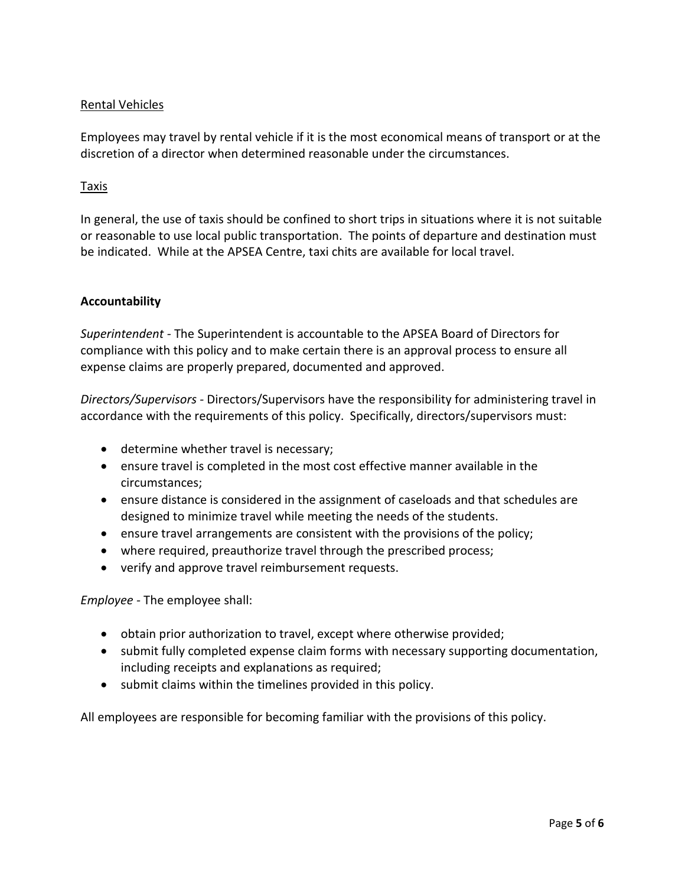# Rental Vehicles

Employees may travel by rental vehicle if it is the most economical means of transport or at the discretion of a director when determined reasonable under the circumstances.

#### Taxis

In general, the use of taxis should be confined to short trips in situations where it is not suitable or reasonable to use local public transportation. The points of departure and destination must be indicated. While at the APSEA Centre, taxi chits are available for local travel.

## **Accountability**

*Superintendent -* The Superintendent is accountable to the APSEA Board of Directors for compliance with this policy and to make certain there is an approval process to ensure all expense claims are properly prepared, documented and approved.

*Directors/Supervisors -* Directors/Supervisors have the responsibility for administering travel in accordance with the requirements of this policy. Specifically, directors/supervisors must:

- determine whether travel is necessary;
- ensure travel is completed in the most cost effective manner available in the circumstances;
- ensure distance is considered in the assignment of caseloads and that schedules are designed to minimize travel while meeting the needs of the students.
- **e** ensure travel arrangements are consistent with the provisions of the policy;
- where required, preauthorize travel through the prescribed process;
- verify and approve travel reimbursement requests.

*Employee -* The employee shall:

- obtain prior authorization to travel, except where otherwise provided;
- submit fully completed expense claim forms with necessary supporting documentation, including receipts and explanations as required;
- submit claims within the timelines provided in this policy.

All employees are responsible for becoming familiar with the provisions of this policy.